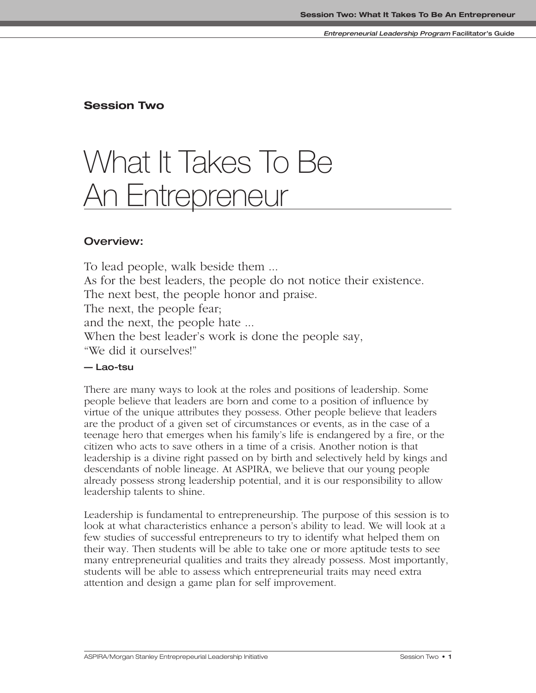### **Session Two**

# What It Takes To Be **An Entrepreneur**

### **Overview:**

To lead people, walk beside them ... As for the best leaders, the people do not notice their existence. The next best, the people honor and praise. The next, the people fear; and the next, the people hate ... When the best leader's work is done the people say, "We did it ourselves!"

### **— Lao-tsu**

There are many ways to look at the roles and positions of leadership. Some people believe that leaders are born and come to a position of influence by virtue of the unique attributes they possess. Other people believe that leaders are the product of a given set of circumstances or events, as in the case of a teenage hero that emerges when his family's life is endangered by a fire, or the citizen who acts to save others in a time of a crisis. Another notion is that leadership is a divine right passed on by birth and selectively held by kings and descendants of noble lineage. At ASPIRA, we believe that our young people already possess strong leadership potential, and it is our responsibility to allow leadership talents to shine.

Leadership is fundamental to entrepreneurship. The purpose of this session is to look at what characteristics enhance a person's ability to lead. We will look at a few studies of successful entrepreneurs to try to identify what helped them on their way. Then students will be able to take one or more aptitude tests to see many entrepreneurial qualities and traits they already possess. Most importantly, students will be able to assess which entrepreneurial traits may need extra attention and design a game plan for self improvement.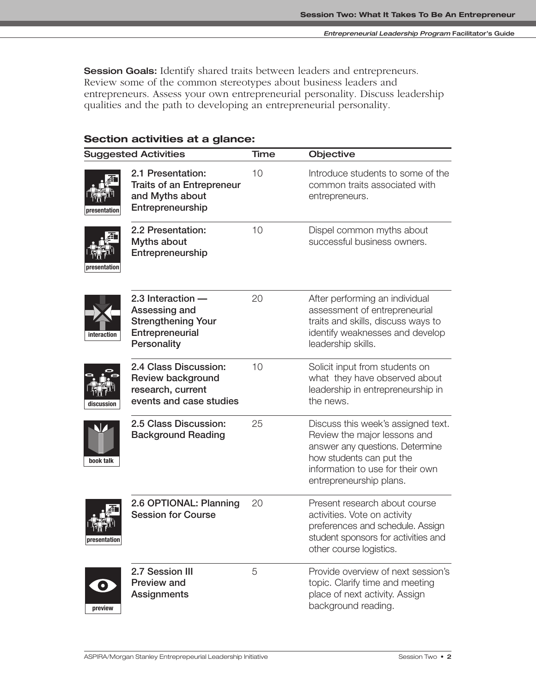**Session Goals:** Identify shared traits between leaders and entrepreneurs. Review some of the common stereotypes about business leaders and entrepreneurs. Assess your own entrepreneurial personality. Discuss leadership qualities and the path to developing an entrepreneurial personality.

|  | Section activities at a glance: |  |  |
|--|---------------------------------|--|--|
|--|---------------------------------|--|--|

|                      | <b>Suggested Activities</b>                                                                         |    | Objective                                                                                                                                                                                        |
|----------------------|-----------------------------------------------------------------------------------------------------|----|--------------------------------------------------------------------------------------------------------------------------------------------------------------------------------------------------|
| presentation         | 2.1 Presentation:<br><b>Traits of an Entrepreneur</b><br>and Myths about<br>Entrepreneurship        | 10 | Introduce students to some of the<br>common traits associated with<br>entrepreneurs.                                                                                                             |
| esentation           | 2.2 Presentation:<br>Myths about<br>Entrepreneurship                                                | 10 | Dispel common myths about<br>successful business owners.                                                                                                                                         |
| interaction          | 2.3 Interaction $-$<br>Assessing and<br><b>Strengthening Your</b><br>Entrepreneurial<br>Personality | 20 | After performing an individual<br>assessment of entrepreneurial<br>traits and skills, discuss ways to<br>identify weaknesses and develop<br>leadership skills.                                   |
| discussion           | 2.4 Class Discussion:<br><b>Review background</b><br>research, current<br>events and case studies   | 10 | Solicit input from students on<br>what they have observed about<br>leadership in entrepreneurship in<br>the news.                                                                                |
| book talk            | 2.5 Class Discussion:<br><b>Background Reading</b>                                                  | 25 | Discuss this week's assigned text.<br>Review the major lessons and<br>answer any questions. Determine<br>how students can put the<br>information to use for their own<br>entrepreneurship plans. |
| presentation         | 2.6 OPTIONAL: Planning<br><b>Session for Course</b>                                                 | 20 | Present research about course<br>activities. Vote on activity<br>preferences and schedule. Assign<br>student sponsors for activities and<br>other course logistics.                              |
| $\bullet$<br>preview | 2.7 Session III<br>Preview and<br><b>Assignments</b>                                                | 5  | Provide overview of next session's<br>topic. Clarify time and meeting<br>place of next activity. Assign<br>background reading.                                                                   |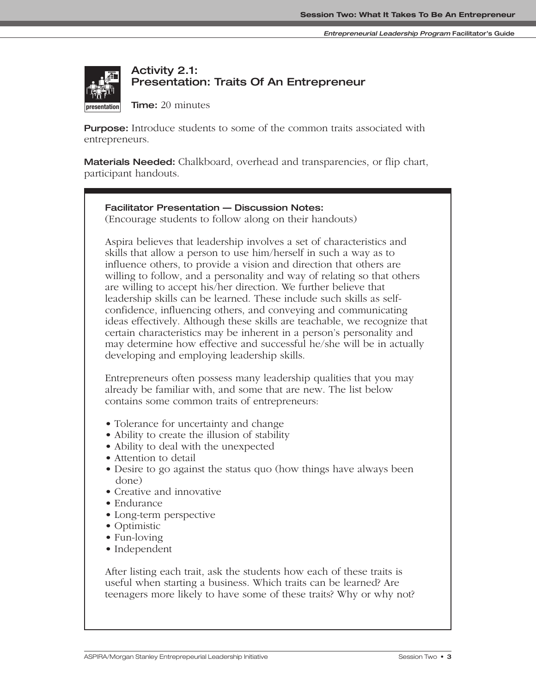

# **Activity 2.1: Presentation: Traits Of An Entrepreneur**

**Time:** 20 minutes

**Purpose:** Introduce students to some of the common traits associated with entrepreneurs.

**Materials Needed:** Chalkboard, overhead and transparencies, or flip chart, **participant handouts.** 

### **Facilitator Presentation — Discussion Notes:**

(Encourage students to follow along on their handouts)

Aspira believes that leadership involves a set of characteristics and skills that allow a person to use him/herself in such a way as to influence others, to provide a vision and direction that others are willing to follow, and a personality and way of relating so that others are willing to accept his/her direction. We further believe that leadership skills can be learned. These include such skills as selfconfidence, influencing others, and conveying and communicating ideas effectively. Although these skills are teachable, we recognize that certain characteristics may be inherent in a person's personality and may determine how effective and successful he/she will be in actually developing and employing leadership skills.

Entrepreneurs often possess many leadership qualities that you may already be familiar with, and some that are new. The list below contains some common traits of entrepreneurs:

- Tolerance for uncertainty and change
- Ability to create the illusion of stability
- Ability to deal with the unexpected
- Attention to detail
- Desire to go against the status quo (how things have always been done)
- Creative and innovative
- Endurance
- Long-term perspective
- Optimistic
- Fun-loving
- Independent

After listing each trait, ask the students how each of these traits is useful when starting a business. Which traits can be learned? Are teenagers more likely to have some of these traits? Why or why not?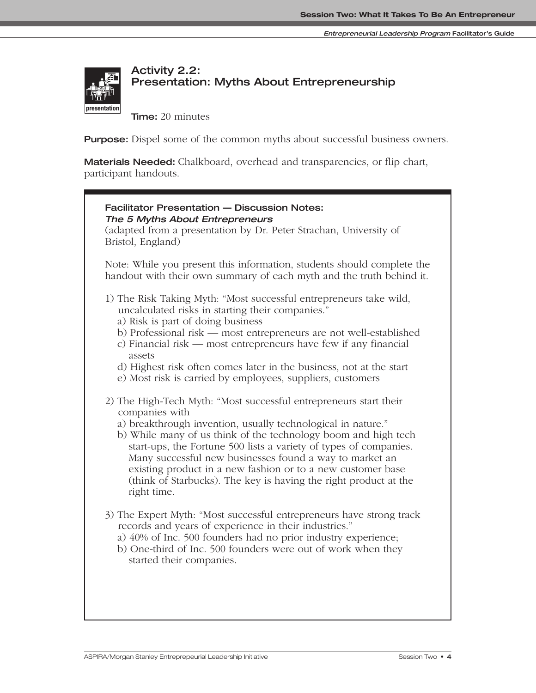

# **Activity 2.2: Presentation: Myths About Entrepreneurship**

**Time:** 20 minutes

**Purpose:** Dispel some of the common myths about successful business owners.

**Materials Needed:** Chalkboard, overhead and transparencies, or flip chart, participant handouts.

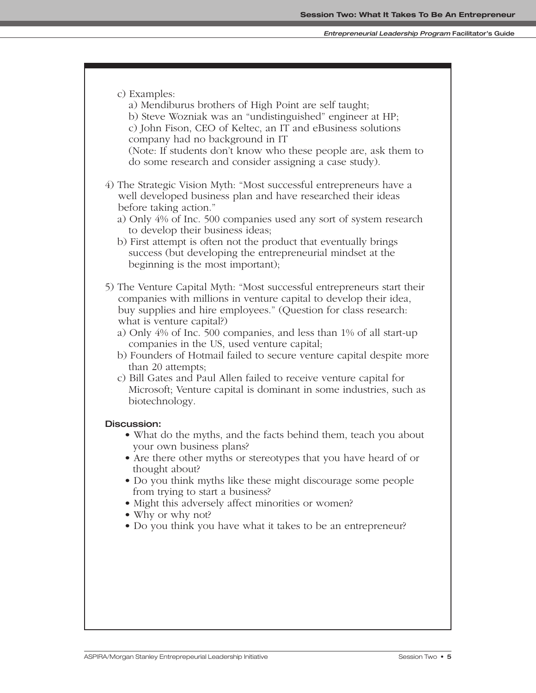#### **Entrepreneurial Leadership Program Facilitator's Guide**

c) Examples: a) Mendiburus brothers of High Point are self taught; b) Steve Wozniak was an "undistinguished" engineer at HP; c) John Fison, CEO of Keltec, an IT and eBusiness solutions company had no background in IT (Note: If students don't know who these people are, ask them to do some research and consider assigning a case study). 4) The Strategic Vision Myth: "Most successful entrepreneurs have a well developed business plan and have researched their ideas before taking action." a) Only 4% of Inc. 500 companies used any sort of system research to develop their business ideas; b) First attempt is often not the product that eventually brings success (but developing the entrepreneurial mindset at the beginning is the most important); 5) The Venture Capital Myth: "Most successful entrepreneurs start their companies with millions in venture capital to develop their idea, buy supplies and hire employees." (Question for class research: what is venture capital?) a) Only 4% of Inc. 500 companies, and less than 1% of all start-up companies in the US, used venture capital; b) Founders of Hotmail failed to secure venture capital despite more than 20 attempts; c) Bill Gates and Paul Allen failed to receive venture capital for Microsoft; Venture capital is dominant in some industries, such as biotechnology. **Discussion:** • What do the myths, and the facts behind them, teach you about your own business plans? **•** Are there other myths or stereotypes that you have heard of or thought about? **•** Do you think myths like these might discourage some people from trying to start a business? • Might this adversely affect minorities or women? **•** Why or why not? **•** Do you think you have what it takes to be an entrepreneur?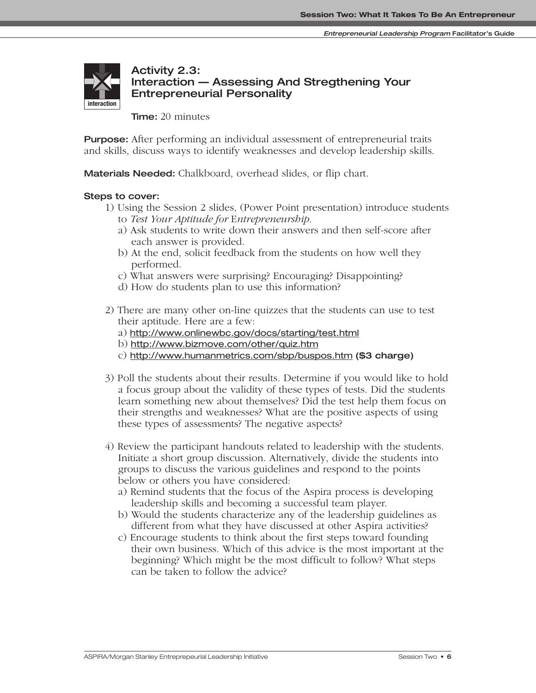

### **Activity 2.3: Interaction — Assessing And Stregthening Your Entrepreneurial Personality**

**Time:** 20 minutes

**Purpose:** After performing an individual assessment of entrepreneurial traits and skills, discuss ways to identify weaknesses and develop leadership skills.

**Materials Needed:** Chalkboard, overhead slides, or flip chart.

### **Steps to cover:**

- 1) Using the Session 2 slides, (Power Point presentation) introduce students
	- to *Test Your Aptitude for* E*ntrepreneurship*.
	- a) Ask students to write down their answers and then self-score after each answer is provided.
	- b) At the end, solicit feedback from the students on how well they performed.
	- c) What answers were surprising? Encouraging? Disappointing?
	- d) How do students plan to use this information?
- 2) There are many other on-line quizzes that the students can use to test their aptitude. Here are a few:
	- a) http://www.onlinewbc.gov/docs/starting/test.html
	- b) http://www.bizmove.com/other/quiz.htm
	- c) http://www.humanmetrics.com/sbp/buspos.htm **(\$3 charge)**
- 3) Poll the students about their results. Determine if you would like to hold a focus group about the validity of these types of tests. Did the students learn something new about themselves? Did the test help them focus on their strengths and weaknesses? What are the positive aspects of using these types of assessments? The negative aspects?
- 4) Review the participant handouts related to leadership with the students. Initiate a short group discussion. Alternatively, divide the students into groups to discuss the various guidelines and respond to the points below or others you have considered:
	- a) Remind students that the focus of the Aspira process is developing leadership skills and becoming a successful team player.
	- b) Would the students characterize any of the leadership guidelines as different from what they have discussed at other Aspira activities?
	- c) Encourage students to think about the first steps toward founding their own business. Which of this advice is the most important at the beginning? Which might be the most difficult to follow? What steps can be taken to follow the advice?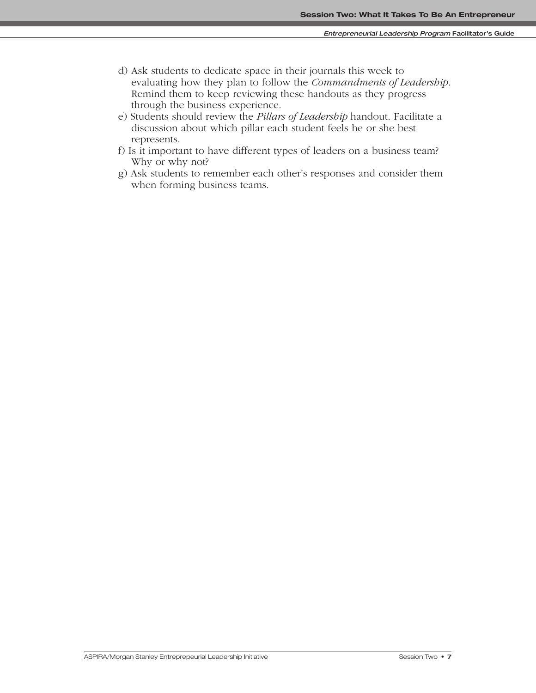- d) Ask students to dedicate space in their journals this week to evaluating how they plan to follow the *Commandments of Leadership*. Remind them to keep reviewing these handouts as they progress through the business experience.
- e) Students should review the *Pillars of Leadership* handout. Facilitate a discussion about which pillar each student feels he or she best represents.
- f) Is it important to have different types of leaders on a business team? Why or why not?
- g) Ask students to remember each other's responses and consider them when forming business teams.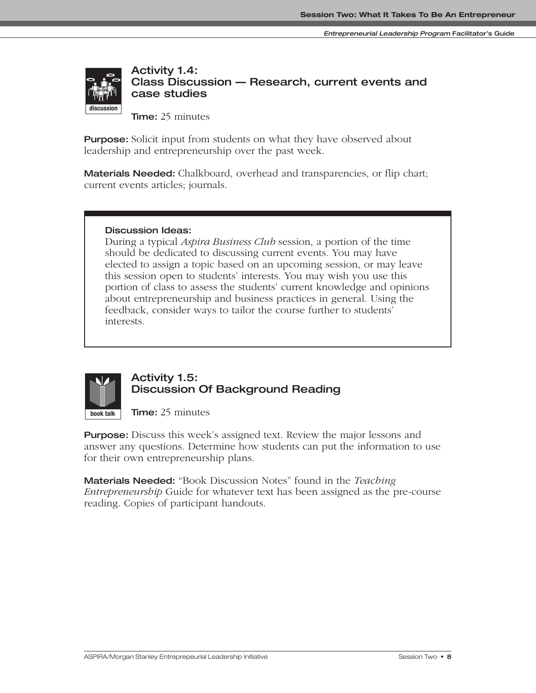

**Activity 1.4: Class Discussion — Research, current events and case studies**

**Time:** 25 minutes

**Purpose:** Solicit input from students on what they have observed about leadership and entrepreneurship over the past week.

**Materials Needed:** Chalkboard, overhead and transparencies, or flip chart; current events articles; journals.

### **Discussion Ideas:**

**presentation discussion**

During a typical *Aspira Business Club* session, a portion of the time should be dedicated to discussing current events. You may have elected to assign a topic based on an upcoming session, or may leave this session open to students' interests. You may wish you use this portion of class to assess the students' current knowledge and opinions about entrepreneurship and business practices in general. Using the feedback, consider ways to tailor the course further to students' interests.



### **Activity 1.5: Discussion Of Background Reading**

**Time:** 25 minutes

**Purpose:** Discuss this week's assigned text. Review the major lessons and answer any questions. Determine how students can put the information to use for their own entrepreneurship plans.

**Materials Needed:** "Book Discussion Notes" found in the *Teaching Entrepreneurship* Guide for whatever text has been assigned as the pre-course reading. Copies of participant handouts.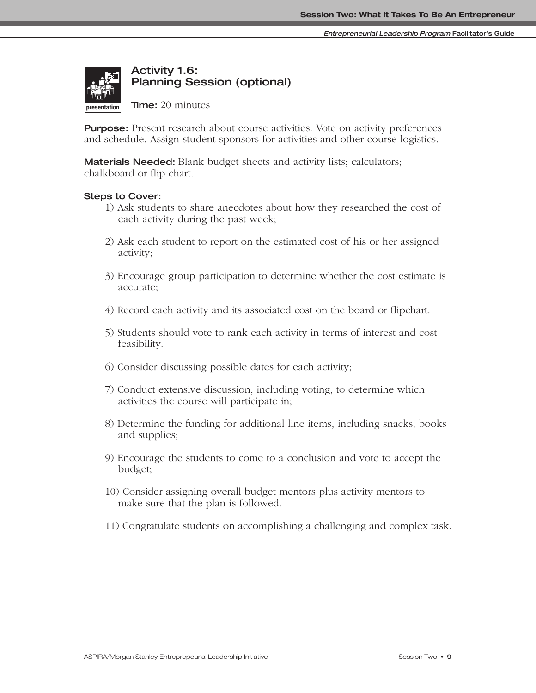

# **Activity 1.6: Planning Session (optional)**

**Time:** 20 minutes

**Purpose:** Present research about course activities. Vote on activity preferences and schedule. Assign student sponsors for activities and other course logistics.

**Materials Needed:** Blank budget sheets and activity lists; calculators; chalkboard or flip chart.

### **Steps to Cover:**

- 1) Ask students to share anecdotes about how they researched the cost of each activity during the past week;
- 2) Ask each student to report on the estimated cost of his or her assigned activity; **interaction**
	- 3) Encourage group participation to determine whether the cost estimate is accurate;
	- 4) Record each activity and its associated cost on the board or flipchart.
	- 5) Students should vote to rank each activity in terms of interest and cost feasibility.
	- 6) Consider discussing possible dates for each activity;
	- 7) Conduct extensive discussion, including voting, to determine which activities the course will participate in;
	- 8) Determine the funding for additional line items, including snacks, books and supplies;
	- 9) Encourage the students to come to a conclusion and vote to accept the budget;
	- 10) Consider assigning overall budget mentors plus activity mentors to make sure that the plan is followed.
	- 11) Congratulate students on accomplishing a challenging and complex task.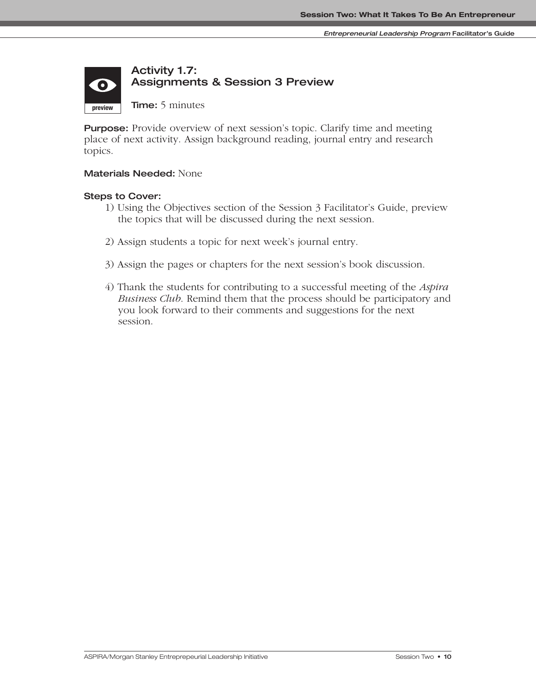#### **Activity 1.7: Assignments & Session 3 Preview**  $\bullet$ **Time:** 5 minutes **preview**

**Purpose:** Provide overview of next session's topic. Clarify time and meeting place of next activity. Assign background reading, journal entry and research topics.

### **Materials Needed:** None

### **Steps to Cover:**

- 1) Using the Objectives section of the Session 3 Facilitator's Guide, preview the topics that will be discussed during the next session.
- 2) Assign students a topic for next week's journal entry.
- 3) Assign the pages or chapters for the next session's book discussion.
- 4) Thank the students for contributing to a successful meeting of the *Aspira Business Club*. Remind them that the process should be participatory and you look forward to their comments and suggestions for the next session.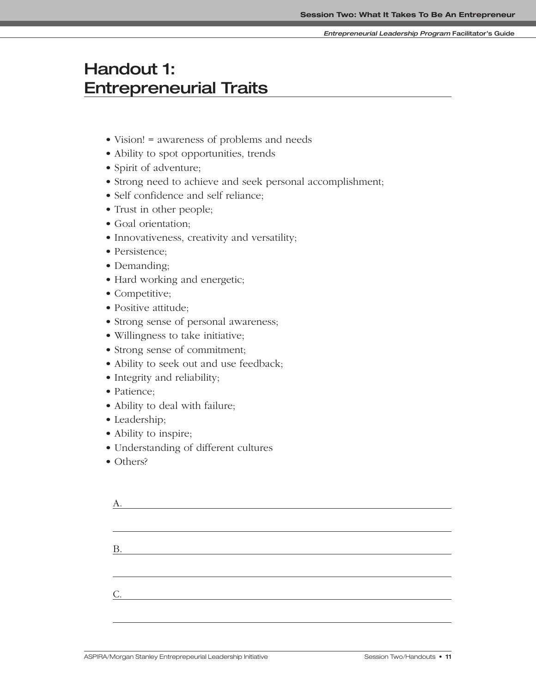#### **Entrepreneurial Leadership Program Facilitator's Guide**

# **Handout 1: Entrepreneurial Traits**

- Vision! = awareness of problems and needs
- Ability to spot opportunities, trends
- Spirit of adventure;
- Strong need to achieve and seek personal accomplishment;
- Self confidence and self reliance;
- Trust in other people;
- Goal orientation;
- Innovativeness, creativity and versatility;
- Persistence;
- Demanding;
- Hard working and energetic;
- Competitive;
- Positive attitude;
- Strong sense of personal awareness;
- Willingness to take initiative;
- Strong sense of commitment;
- Ability to seek out and use feedback;
- Integrity and reliability;
- Patience;
- Ability to deal with failure;
- Leadership;
- Ability to inspire;
- Understanding of different cultures
- Others?

| <u> 1989 - Johann Barn, fransk politik (d. 1989)</u> |  |
|------------------------------------------------------|--|
|                                                      |  |
|                                                      |  |
| <b>B.</b><br><u> 1990 - Johann Barbara, martin a</u> |  |
|                                                      |  |
|                                                      |  |
| C.<br><u>and the state of the state of the state</u> |  |
|                                                      |  |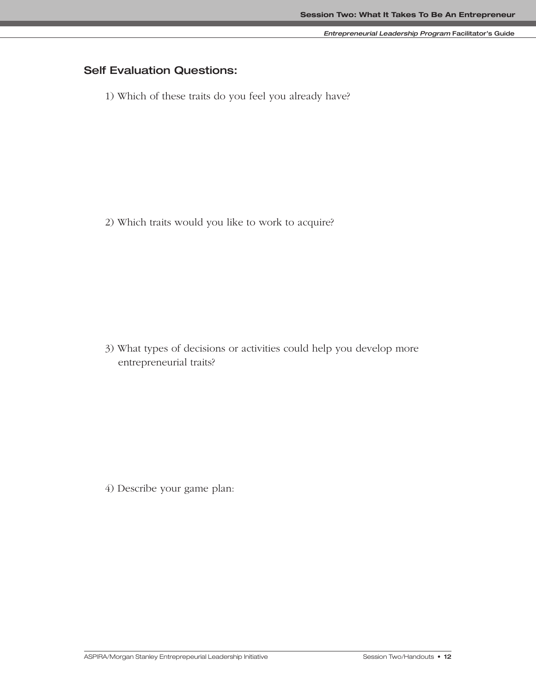# **Self Evaluation Questions:**

1) Which of these traits do you feel you already have?

2) Which traits would you like to work to acquire?

3) What types of decisions or activities could help you develop more entrepreneurial traits?

4) Describe your game plan: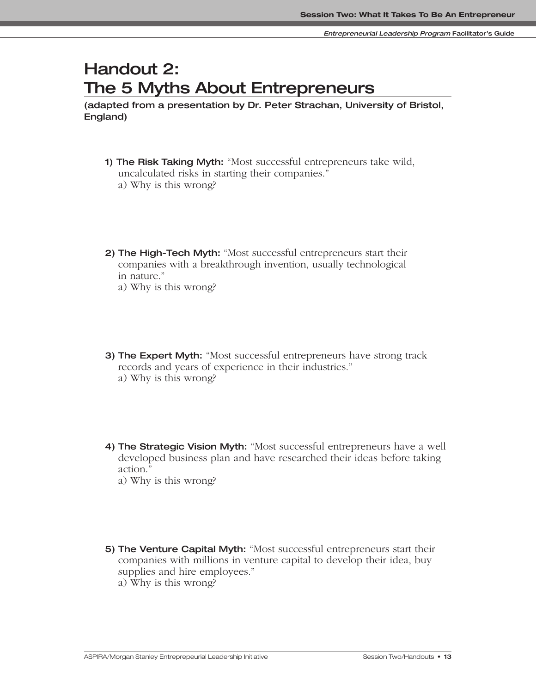# **Handout 2: The 5 Myths About Entrepreneurs**

**(adapted from a presentation by Dr. Peter Strachan, University of Bristol, England)**

- **1) The Risk Taking Myth:** "Most successful entrepreneurs take wild, uncalculated risks in starting their companies." a) Why is this wrong?
- **2) The High-Tech Myth:** "Most successful entrepreneurs start their companies with a breakthrough invention, usually technological in nature."
	- a) Why is this wrong?
- **3) The Expert Myth:** "Most successful entrepreneurs have strong track records and years of experience in their industries." a) Why is this wrong?
- **4) The Strategic Vision Myth:** "Most successful entrepreneurs have a well developed business plan and have researched their ideas before taking action."

a) Why is this wrong?

- **5) The Venture Capital Myth:** "Most successful entrepreneurs start their companies with millions in venture capital to develop their idea, buy supplies and hire employees."
	- a) Why is this wrong?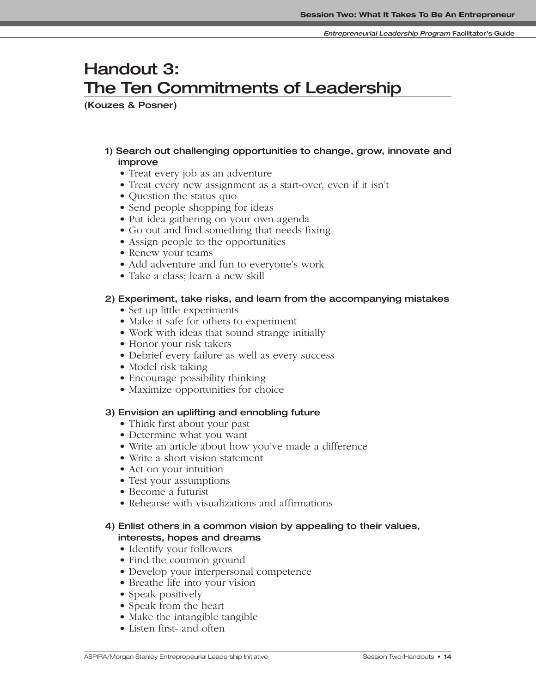# **Handout 3: The Ten Commitments of Leadership**

**(Kouzes & Posner)**

### **1) Search out challenging opportunities to change, grow, innovate and improve**

- Treat every job as an adventure
- Treat every new assignment as a start-over, even if it isn't
- Question the status quo
- Send people shopping for ideas
- Put idea gathering on your own agenda
- Go out and find something that needs fixing
- Assign people to the opportunities
- Renew your teams
- Add adventure and fun to everyone's work
- Take a class: learn a new skill

### **2) Experiment, take risks, and learn from the accompanying mistakes**

- Set up little experiments
- Make it safe for others to experiment
- Work with ideas that sound strange initially
- Honor your risk takers
- Debrief every failure as well as every success
- Model risk taking
- Encourage possibility thinking
- Maximize opportunities for choice

### **3) Envision an uplifting and ennobling future**

- Think first about your past
- Determine what you want
- Write an article about how you've made a difference
- Write a short vision statement
- Act on your intuition
- Test your assumptions
- Become a futurist
- Rehearse with visualizations and affirmations

### **4) Enlist others in a common vision by appealing to their values, interests, hopes and dreams**

- Identify your followers
- Find the common ground
- Develop your interpersonal competence
- Breathe life into your vision
- Speak positively
- Speak from the heart
- Make the intangible tangible
- Listen first- and often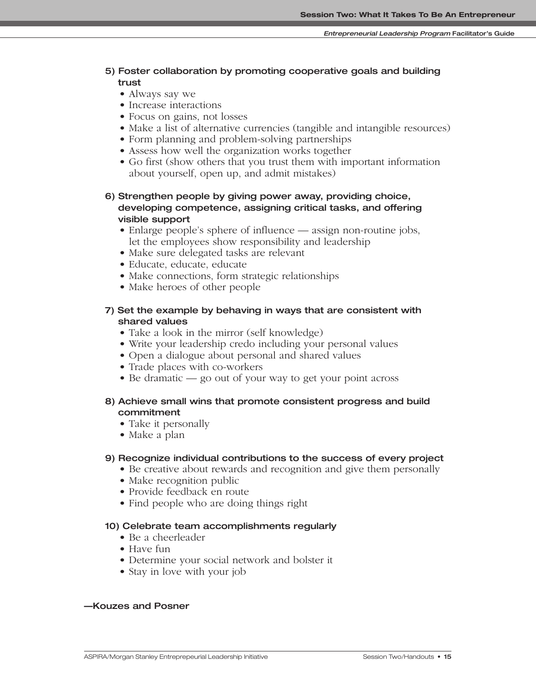### **5) Foster collaboration by promoting cooperative goals and building trust**

- Always say we
- Increase interactions
- Focus on gains, not losses
- Make a list of alternative currencies (tangible and intangible resources)
- Form planning and problem-solving partnerships
- Assess how well the organization works together
- Go first (show others that you trust them with important information about yourself, open up, and admit mistakes)

### **6) Strengthen people by giving power away, providing choice, developing competence, assigning critical tasks, and offering visible support**

- Enlarge people's sphere of influence assign non-routine jobs, let the employees show responsibility and leadership
- Make sure delegated tasks are relevant
- Educate, educate, educate
- Make connections, form strategic relationships
- Make heroes of other people

### **7) Set the example by behaving in ways that are consistent with shared values**

- Take a look in the mirror (self knowledge)
- Write your leadership credo including your personal values
- Open a dialogue about personal and shared values
- Trade places with co-workers
- Be dramatic go out of your way to get your point across

### **8) Achieve small wins that promote consistent progress and build commitment**

- Take it personally
- Make a plan

### **9) Recognize individual contributions to the success of every project**

- Be creative about rewards and recognition and give them personally
- Make recognition public
- Provide feedback en route
- Find people who are doing things right

### **10) Celebrate team accomplishments regularly**

- Be a cheerleader
- Have fun
- Determine your social network and bolster it
- Stay in love with your job

### **—Kouzes and Posner**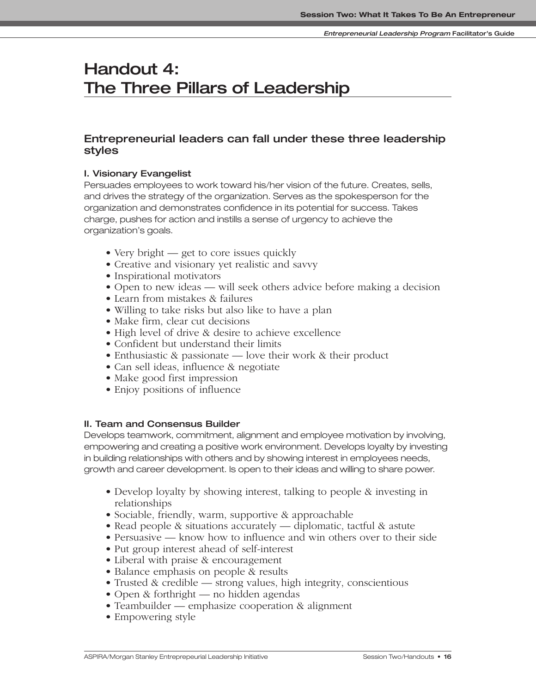# **Handout 4: The Three Pillars of Leadership**

# **Entrepreneurial leaders can fall under these three leadership styles**

### **I. Visionary Evangelist**

Persuades employees to work toward his/her vision of the future. Creates, sells, and drives the strategy of the organization. Serves as the spokesperson for the organization and demonstrates confidence in its potential for success. Takes charge, pushes for action and instills a sense of urgency to achieve the organization's goals.

- Very bright get to core issues quickly
- Creative and visionary yet realistic and savvy
- Inspirational motivators
- Open to new ideas will seek others advice before making a decision
- Learn from mistakes & failures
- Willing to take risks but also like to have a plan
- Make firm, clear cut decisions
- High level of drive & desire to achieve excellence
- Confident but understand their limits
- Enthusiastic & passionate love their work & their product
- Can sell ideas, influence & negotiate
- Make good first impression
- Enjoy positions of influence

### **II. Team and Consensus Builder**

Develops teamwork, commitment, alignment and employee motivation by involving, empowering and creating a positive work environment. Develops loyalty by investing in building relationships with others and by showing interest in employees needs, growth and career development. Is open to their ideas and willing to share power.

- Develop loyalty by showing interest, talking to people & investing in relationships
- Sociable, friendly, warm, supportive & approachable
- Read people & situations accurately diplomatic, tactful & astute
- Persuasive know how to influence and win others over to their side
- Put group interest ahead of self-interest
- Liberal with praise & encouragement
- Balance emphasis on people & results
- Trusted & credible strong values, high integrity, conscientious
- Open & forthright no hidden agendas
- Teambuilder emphasize cooperation & alignment
- Empowering style